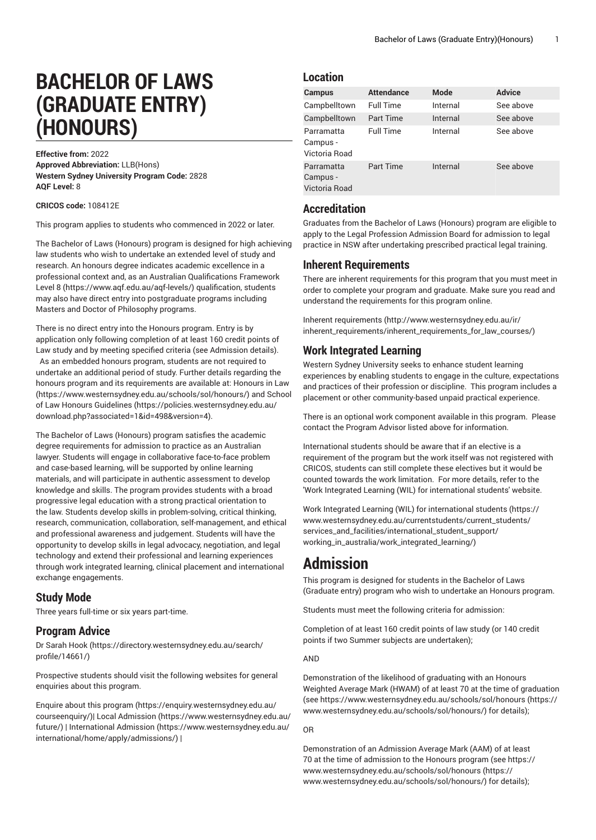# **BACHELOR OF LAWS (GRADUATE ENTRY) (HONOURS)**

**Effective from:** 2022 **Approved Abbreviation:** LLB(Hons) **Western Sydney University Program Code:** 2828 **AQF Level:** 8

**CRICOS code:** 108412E

This program applies to students who commenced in 2022 or later.

The Bachelor of Laws (Honours) program is designed for high achieving law students who wish to undertake an extended level of study and research. An honours degree indicates academic excellence in a professional context and, as an Australian [Qualifications](https://www.aqf.edu.au/aqf-levels/) Framework [Level](https://www.aqf.edu.au/aqf-levels/) 8 (<https://www.aqf.edu.au/aqf-levels/>) qualification, students may also have direct entry into postgraduate programs including Masters and Doctor of Philosophy programs.

There is no direct entry into the Honours program. Entry is by application only following completion of at least 160 credit points of Law study and by meeting specified criteria (see Admission details). As an embedded honours program, students are not required to undertake an additional period of study. Further details regarding the honours program and its requirements are available at: [Honours in Law](https://www.westernsydney.edu.au/schools/sol/honours/) ([https://www.westernsydney.edu.au/schools/sol/honours/\)](https://www.westernsydney.edu.au/schools/sol/honours/) and [School](https://policies.westernsydney.edu.au/download.php?associated=1&id=498&version=4) [of Law Honours Guidelines \(https://policies.westernsydney.edu.au/](https://policies.westernsydney.edu.au/download.php?associated=1&id=498&version=4) [download.php?associated=1&id=498&version=4\)](https://policies.westernsydney.edu.au/download.php?associated=1&id=498&version=4).

The Bachelor of Laws (Honours) program satisfies the academic degree requirements for admission to practice as an Australian lawyer. Students will engage in collaborative face-to-face problem and case-based learning, will be supported by online learning materials, and will participate in authentic assessment to develop knowledge and skills. The program provides students with a broad progressive legal education with a strong practical orientation to the law. Students develop skills in problem-solving, critical thinking, research, communication, collaboration, self-management, and ethical and professional awareness and judgement. Students will have the opportunity to develop skills in legal advocacy, negotiation, and legal technology and extend their professional and learning experiences through work integrated learning, clinical placement and international exchange engagements.

### **Study Mode**

Three years full-time or six years part-time.

### **Program Advice**

[Dr Sarah Hook](https://directory.westernsydney.edu.au/search/profile/14661/) ([https://directory.westernsydney.edu.au/search/](https://directory.westernsydney.edu.au/search/profile/14661/) [profile/14661/\)](https://directory.westernsydney.edu.au/search/profile/14661/)

Prospective students should visit the following websites for general enquiries about this program.

Enquire about this [program \(https://enquiry.westernsydney.edu.au/](https://enquiry.westernsydney.edu.au/courseenquiry/) [courseenquiry/](https://enquiry.westernsydney.edu.au/courseenquiry/))| [Local Admission \(https://www.westernsydney.edu.au/](https://www.westernsydney.edu.au/future/) [future/\)](https://www.westernsydney.edu.au/future/) | [International Admission](https://www.westernsydney.edu.au/international/home/apply/admissions/) ([https://www.westernsydney.edu.au/](https://www.westernsydney.edu.au/international/home/apply/admissions/) [international/home/apply/admissions/](https://www.westernsydney.edu.au/international/home/apply/admissions/)) |

## **Location**

| <b>Campus</b>                           | <b>Attendance</b> | <b>Mode</b> | <b>Advice</b> |
|-----------------------------------------|-------------------|-------------|---------------|
| Campbelltown                            | <b>Full Time</b>  | Internal    | See above     |
| Campbelltown                            | Part Time         | Internal    | See above     |
| Parramatta<br>Campus -<br>Victoria Road | <b>Full Time</b>  | Internal    | See above     |
| Parramatta<br>Campus -<br>Victoria Road | <b>Part Time</b>  | Internal    | See above     |

## **Accreditation**

Graduates from the Bachelor of Laws (Honours) program are eligible to apply to the Legal Profession Admission Board for admission to legal practice in NSW after undertaking prescribed practical legal training.

## **Inherent Requirements**

There are inherent requirements for this program that you must meet in order to complete your program and graduate. Make sure you read and understand the requirements for this program online.

Inherent [requirements \(http://www.westernsydney.edu.au/ir/](http://www.westernsydney.edu.au/ir/inherent_requirements/inherent_requirements_for_law_courses/) [inherent\\_requirements/inherent\\_requirements\\_for\\_law\\_courses/](http://www.westernsydney.edu.au/ir/inherent_requirements/inherent_requirements_for_law_courses/))

## **Work Integrated Learning**

Western Sydney University seeks to enhance student learning experiences by enabling students to engage in the culture, expectations and practices of their profession or discipline. This program includes a placement or other community-based unpaid practical experience.

There is an optional work component available in this program. Please contact the Program Advisor listed above for information.

International students should be aware that if an elective is a requirement of the program but the work itself was not registered with CRICOS, students can still complete these electives but it would be counted towards the work limitation. For more details, refer to the 'Work Integrated Learning (WIL) for international students' website.

Work Integrated Learning (WIL) for [international](https://www.westernsydney.edu.au/currentstudents/current_students/services_and_facilities/international_student_support/working_in_australia/work_integrated_learning/) students ([https://](https://www.westernsydney.edu.au/currentstudents/current_students/services_and_facilities/international_student_support/working_in_australia/work_integrated_learning/) [www.westernsydney.edu.au/currentstudents/current\\_students/](https://www.westernsydney.edu.au/currentstudents/current_students/services_and_facilities/international_student_support/working_in_australia/work_integrated_learning/) [services\\_and\\_facilities/international\\_student\\_support/](https://www.westernsydney.edu.au/currentstudents/current_students/services_and_facilities/international_student_support/working_in_australia/work_integrated_learning/) [working\\_in\\_australia/work\\_integrated\\_learning/](https://www.westernsydney.edu.au/currentstudents/current_students/services_and_facilities/international_student_support/working_in_australia/work_integrated_learning/))

## **Admission**

This program is designed for students in the Bachelor of Laws (Graduate entry) program who wish to undertake an Honours program.

Students must meet the following criteria for admission:

Completion of at least 160 credit points of law study (or 140 credit points if two Summer subjects are undertaken);

#### AND

Demonstration of the likelihood of graduating with an Honours Weighted Average Mark (HWAM) of at least 70 at the time of graduation (see [https://www.westernsydney.edu.au/schools/sol/honours](https://www.westernsydney.edu.au/schools/sol/honours/) ([https://](https://www.westernsydney.edu.au/schools/sol/honours/) [www.westernsydney.edu.au/schools/sol/honours/\)](https://www.westernsydney.edu.au/schools/sol/honours/) for details);

OR

Demonstration of an Admission Average Mark (AAM) of at least 70 at the time of admission to the Honours program (see [https://](https://www.westernsydney.edu.au/schools/sol/honours/) [www.westernsydney.edu.au/schools/sol/honours \(https://](https://www.westernsydney.edu.au/schools/sol/honours/) [www.westernsydney.edu.au/schools/sol/honours/\)](https://www.westernsydney.edu.au/schools/sol/honours/) for details);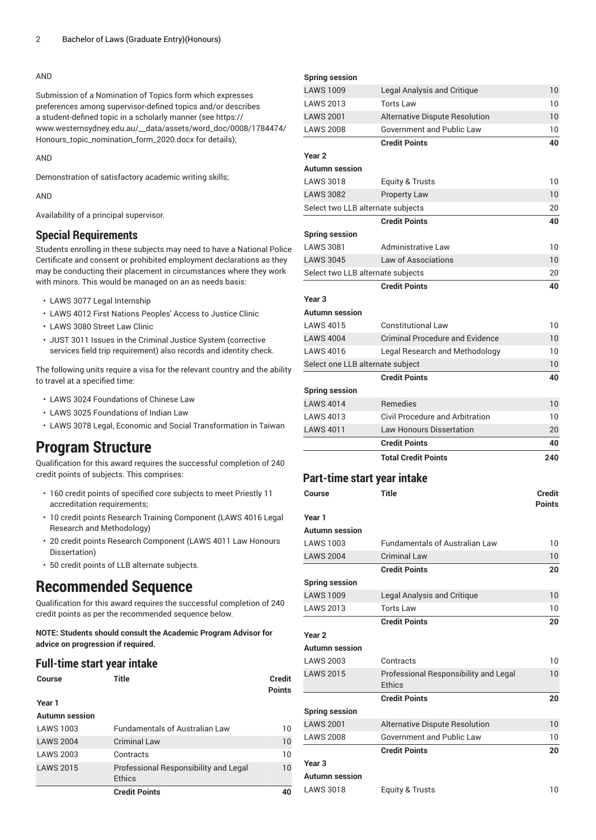#### AND

Submission of a Nomination of Topics form which expresses preferences among supervisor-defined topics and/or describes a student-defined topic in a scholarly manner (see [https://](https://www.westernsydney.edu.au/__data/assets/word_doc/0008/1784474/Honours_topic_nomination_form_2020.docx) [www.westernsydney.edu.au/\\_\\_data/assets/word\\_doc/0008/1784474/](https://www.westernsydney.edu.au/__data/assets/word_doc/0008/1784474/Honours_topic_nomination_form_2020.docx) [Honours\\_topic\\_nomination\\_form\\_2020.docx](https://www.westernsydney.edu.au/__data/assets/word_doc/0008/1784474/Honours_topic_nomination_form_2020.docx) for details);

AND

Demonstration of satisfactory academic writing skills;

AND

Availability of a principal supervisor.

## **Special Requirements**

Students enrolling in these subjects may need to have a National Police Certificate and consent or prohibited employment declarations as they may be conducting their placement in circumstances where they work with minors. This would be managed on an as needs basis:

- LAWS 3077 Legal Internship
- LAWS 4012 First Nations Peoples' Access to Justice Clinic
- LAWS 3080 Street Law Clinic
- JUST 3011 Issues in the Criminal Justice System (corrective services field trip requirement) also records and identity check.

The following units require a visa for the relevant country and the ability to travel at a specified time:

- LAWS 3024 Foundations of Chinese Law
- LAWS 3025 Foundations of Indian Law
- LAWS 3078 Legal, Economic and Social Transformation in Taiwan

## **Program Structure**

Qualification for this award requires the successful completion of 240 credit points of subjects. This comprises:

- 160 credit points of specified core subjects to meet Priestly 11 accreditation requirements;
- 10 credit points Research Training Component [\(LAWS](/search/?P=LAWS%204016) 4016 Legal Research and Methodology)
- 20 credit points Research Component [\(LAWS](/search/?P=LAWS%204011) 4011 Law Honours Dissertation)
- 50 credit points of LLB alternate subjects.

## **Recommended Sequence**

Qualification for this award requires the successful completion of 240 credit points as per the recommended sequence below.

**NOTE: Students should consult the Academic Program Advisor for advice on progression if required.**

## **Full-time start year intake**

| Course | Title | <b>Credit</b> |
|--------|-------|---------------|
|        |       | <b>Points</b> |
| Year 1 |       |               |

## **Autumn session**

|                  | <b>Credit Points</b>                  | 40 |
|------------------|---------------------------------------|----|
|                  | <b>Ethics</b>                         |    |
| <b>LAWS 2015</b> | Professional Responsibility and Legal | 10 |
| <b>LAWS 2003</b> | Contracts                             | 10 |
| <b>LAWS 2004</b> | <b>Criminal Law</b>                   | 10 |
| <b>LAWS 1003</b> | <b>Fundamentals of Australian Law</b> | 10 |
|                  |                                       |    |

| <b>Spring session</b>             |                                                        |               |
|-----------------------------------|--------------------------------------------------------|---------------|
| <b>LAWS 1009</b>                  | Legal Analysis and Critique                            | 10            |
| <b>LAWS 2013</b>                  | <b>Torts Law</b>                                       | 10            |
| <b>LAWS 2001</b>                  | <b>Alternative Dispute Resolution</b>                  | 10            |
| <b>LAWS 2008</b>                  | Government and Public Law                              | 10            |
|                                   | <b>Credit Points</b>                                   | 40            |
| Year 2                            |                                                        |               |
| Autumn session                    |                                                        |               |
| <b>LAWS 3018</b>                  | Equity & Trusts                                        | 10            |
| <b>LAWS 3082</b>                  | Property Law                                           | 10            |
| Select two LLB alternate subjects |                                                        | 20            |
|                                   | <b>Credit Points</b>                                   | 40            |
| <b>Spring session</b>             |                                                        |               |
| <b>LAWS 3081</b>                  | Administrative Law                                     | 10            |
| <b>LAWS 3045</b>                  | Law of Associations                                    | 10            |
| Select two LLB alternate subjects |                                                        | 20            |
|                                   | <b>Credit Points</b>                                   | 40            |
| Year <sub>3</sub>                 |                                                        |               |
| <b>Autumn session</b>             |                                                        |               |
| <b>LAWS 4015</b>                  | <b>Constitutional Law</b>                              | 10            |
| <b>LAWS 4004</b>                  | <b>Criminal Procedure and Evidence</b>                 | 10            |
| LAWS 4016                         | Legal Research and Methodology                         | 10            |
| Select one LLB alternate subject  |                                                        | 10            |
|                                   | <b>Credit Points</b>                                   | 40            |
| <b>Spring session</b>             |                                                        |               |
| <b>LAWS 4014</b>                  | <b>Remedies</b>                                        | 10            |
| <b>LAWS 4013</b>                  | <b>Civil Procedure and Arbitration</b>                 | 10            |
| <b>LAWS 4011</b>                  | <b>Law Honours Dissertation</b>                        | 20            |
|                                   | <b>Credit Points</b>                                   | 40            |
|                                   | <b>Total Credit Points</b>                             | 240           |
|                                   |                                                        |               |
| Part-time start year intake       |                                                        |               |
| <b>Course</b>                     | Title                                                  | Credit        |
|                                   |                                                        | <b>Points</b> |
| Year 1                            |                                                        |               |
| <b>Autumn session</b>             |                                                        |               |
| <b>LAWS 1003</b>                  | <b>Fundamentals of Australian Law</b>                  | 10            |
| <b>LAWS 2004</b>                  | <b>Criminal Law</b>                                    | 10            |
|                                   | <b>Credit Points</b>                                   | 20            |
| <b>Spring session</b>             |                                                        |               |
| <b>LAWS 1009</b>                  | Legal Analysis and Critique                            | 10            |
| <b>LAWS 2013</b>                  | <b>Torts Law</b>                                       | 10            |
|                                   | <b>Credit Points</b>                                   | 20            |
| Year <sub>2</sub>                 |                                                        |               |
| <b>Autumn session</b>             |                                                        |               |
| <b>LAWS 2003</b>                  | Contracts                                              | 10            |
| <b>LAWS 2015</b>                  | Professional Responsibility and Legal<br><b>Ethics</b> | 10            |
|                                   | <b>Credit Points</b>                                   | 20            |
| <b>Spring session</b>             |                                                        |               |
| <b>LAWS 2001</b>                  | Alternative Dispute Resolution                         | 10            |
| <b>LAWS 2008</b>                  | Government and Public Law                              | 10            |
|                                   | <b>Credit Points</b>                                   | 20            |
| Year 3                            |                                                        |               |
| <b>Autumn</b> session             |                                                        |               |
| <b>LAWS 3018</b>                  | Equity & Trusts                                        | 10            |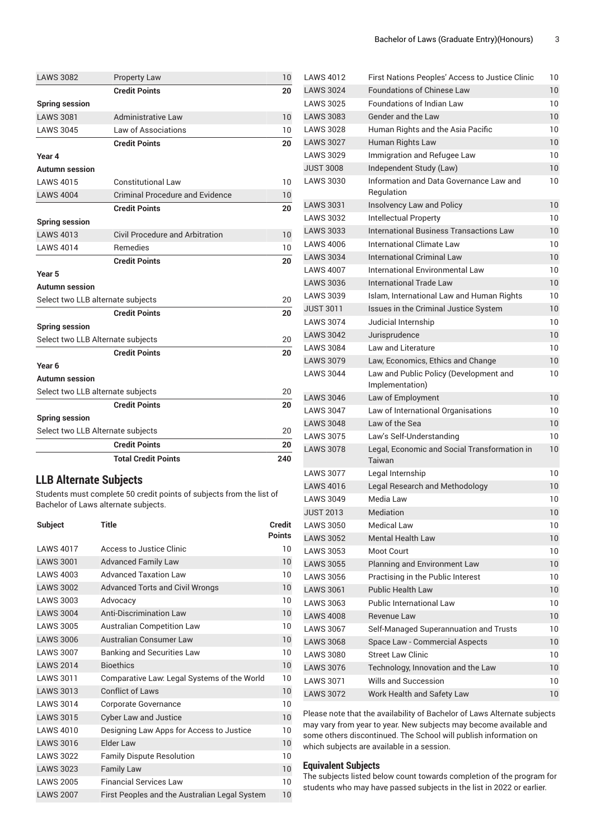| <b>LAWS 3082</b>                  | <b>Property Law</b>                    | 10  |
|-----------------------------------|----------------------------------------|-----|
|                                   | <b>Credit Points</b>                   | 20  |
| <b>Spring session</b>             |                                        |     |
| <b>LAWS 3081</b>                  | <b>Administrative Law</b>              | 10  |
| <b>LAWS 3045</b>                  | Law of Associations                    | 10  |
|                                   | <b>Credit Points</b>                   | 20  |
| Year 4                            |                                        |     |
| <b>Autumn session</b>             |                                        |     |
| <b>LAWS 4015</b>                  | <b>Constitutional Law</b>              | 10  |
| <b>LAWS 4004</b>                  | <b>Criminal Procedure and Evidence</b> | 10  |
|                                   | <b>Credit Points</b>                   | 20  |
| <b>Spring session</b>             |                                        |     |
| <b>LAWS 4013</b>                  | Civil Procedure and Arbitration        | 10  |
| <b>LAWS 4014</b>                  | <b>Remedies</b>                        | 10  |
|                                   | <b>Credit Points</b>                   | 20  |
| Year 5                            |                                        |     |
| <b>Autumn session</b>             |                                        |     |
| Select two LLB alternate subjects |                                        | 20  |
|                                   | <b>Credit Points</b>                   | 20  |
| <b>Spring session</b>             |                                        |     |
|                                   | Select two LLB Alternate subjects      | 20  |
|                                   | <b>Credit Points</b>                   | 20  |
| Year <sub>6</sub>                 |                                        |     |
| <b>Autumn session</b>             |                                        |     |
| Select two LLB alternate subjects |                                        | 20  |
|                                   | <b>Credit Points</b>                   | 20  |
| <b>Spring session</b>             |                                        |     |
|                                   | Select two LLB Alternate subjects      | 20  |
|                                   | <b>Credit Points</b>                   | 20  |
|                                   | <b>Total Credit Points</b>             | 240 |

## **LLB Alternate Subjects**

Students must complete 50 credit points of subjects from the list of Bachelor of Laws alternate subjects.

| <b>Subject</b>   | Title                                         | Credit<br><b>Points</b> |
|------------------|-----------------------------------------------|-------------------------|
| <b>LAWS 4017</b> | Access to Justice Clinic                      | 10                      |
| <b>LAWS 3001</b> | <b>Advanced Family Law</b>                    | 10                      |
| <b>LAWS 4003</b> | Advanced Taxation Law                         | 10                      |
| <b>LAWS 3002</b> | <b>Advanced Torts and Civil Wrongs</b>        | 10                      |
| <b>LAWS 3003</b> | Advocacy                                      | 10                      |
| <b>LAWS 3004</b> | <b>Anti-Discrimination Law</b>                | 10                      |
| <b>LAWS 3005</b> | <b>Australian Competition Law</b>             | 10                      |
| <b>LAWS 3006</b> | Australian Consumer Law                       | 10                      |
| <b>LAWS 3007</b> | <b>Banking and Securities Law</b>             | 10                      |
| <b>LAWS 2014</b> | <b>Bioethics</b>                              | 10                      |
| <b>LAWS 3011</b> | Comparative Law: Legal Systems of the World   | 10                      |
| <b>LAWS 3013</b> | <b>Conflict of Laws</b>                       | 10                      |
| <b>LAWS 3014</b> | Corporate Governance                          | 10                      |
| <b>LAWS 3015</b> | <b>Cyber Law and Justice</b>                  | 10                      |
| <b>LAWS 4010</b> | Designing Law Apps for Access to Justice      | 10                      |
| <b>LAWS 3016</b> | Elder Law                                     | 10                      |
| <b>LAWS 3022</b> | <b>Family Dispute Resolution</b>              | 10                      |
| <b>LAWS 3023</b> | <b>Family Law</b>                             | 10                      |
| <b>LAWS 2005</b> | <b>Financial Services Law</b>                 | 10                      |
| <b>LAWS 2007</b> | First Peoples and the Australian Legal System | 10                      |

| <b>LAWS 4012</b> | First Nations Peoples' Access to Justice Clinic           | 10 |
|------------------|-----------------------------------------------------------|----|
| <b>LAWS 3024</b> | <b>Foundations of Chinese Law</b>                         | 10 |
| <b>LAWS 3025</b> | <b>Foundations of Indian Law</b>                          | 10 |
| <b>LAWS 3083</b> | <b>Gender and the Law</b>                                 | 10 |
| <b>LAWS 3028</b> | Human Rights and the Asia Pacific                         | 10 |
| <b>LAWS 3027</b> | Human Rights Law                                          | 10 |
| <b>LAWS 3029</b> | Immigration and Refugee Law                               | 10 |
| <b>JUST 3008</b> | Independent Study (Law)                                   | 10 |
| <b>LAWS 3030</b> | Information and Data Governance Law and<br>Regulation     | 10 |
| <b>LAWS 3031</b> | Insolvency Law and Policy                                 | 10 |
| <b>LAWS 3032</b> | Intellectual Property                                     | 10 |
| <b>LAWS 3033</b> | International Business Transactions Law                   | 10 |
| <b>LAWS 4006</b> | International Climate Law                                 | 10 |
| <b>LAWS 3034</b> | International Criminal Law                                | 10 |
| <b>LAWS 4007</b> | International Environmental Law                           | 10 |
| <b>LAWS 3036</b> | <b>International Trade Law</b>                            | 10 |
| <b>LAWS 3039</b> | Islam, International Law and Human Rights                 | 10 |
| <b>JUST 3011</b> | Issues in the Criminal Justice System                     | 10 |
| <b>LAWS 3074</b> | Judicial Internship                                       | 10 |
| <b>LAWS 3042</b> | Jurisprudence                                             | 10 |
| <b>LAWS 3084</b> | Law and Literature                                        | 10 |
| <b>LAWS 3079</b> | Law, Economics, Ethics and Change                         | 10 |
| <b>LAWS 3044</b> | Law and Public Policy (Development and<br>Implementation) | 10 |
| <b>LAWS 3046</b> | Law of Employment                                         | 10 |
| <b>LAWS 3047</b> | Law of International Organisations                        | 10 |
| <b>LAWS 3048</b> | Law of the Sea                                            | 10 |
| <b>LAWS 3075</b> | Law's Self-Understanding                                  | 10 |
| <b>LAWS 3078</b> | Legal, Economic and Social Transformation in<br>Taiwan    | 10 |
| <b>LAWS 3077</b> | Legal Internship                                          | 10 |
| <b>LAWS 4016</b> | Legal Research and Methodology                            | 10 |
| <b>LAWS 3049</b> | Media Law                                                 | 10 |
| <b>JUST 2013</b> | Mediation                                                 | 10 |
| <b>LAWS 3050</b> | <b>Medical Law</b>                                        | 10 |
| <b>LAWS 3052</b> | <b>Mental Health Law</b>                                  | 10 |
| <b>LAWS 3053</b> | <b>Moot Court</b>                                         | 10 |
| <b>LAWS 3055</b> | Planning and Environment Law                              | 10 |
| <b>LAWS 3056</b> | Practising in the Public Interest                         | 10 |
| <b>LAWS 3061</b> | <b>Public Health Law</b>                                  | 10 |
| <b>LAWS 3063</b> | <b>Public International Law</b>                           | 10 |
| <b>LAWS 4008</b> | Revenue Law                                               | 10 |
| <b>LAWS 3067</b> | Self-Managed Superannuation and Trusts                    | 10 |
| <b>LAWS 3068</b> | Space Law - Commercial Aspects                            | 10 |
| <b>LAWS 3080</b> | <b>Street Law Clinic</b>                                  | 10 |
| <b>LAWS 3076</b> | Technology, Innovation and the Law                        | 10 |
| <b>LAWS 3071</b> | Wills and Succession                                      | 10 |
| <b>LAWS 3072</b> | Work Health and Safety Law                                | 10 |

Please note that the availability of Bachelor of Laws Alternate subjects may vary from year to year. New subjects may become available and some others discontinued. The School will publish information on which subjects are available in a session.

#### **Equivalent Subjects**

The subjects listed below count towards completion of the program for students who may have passed subjects in the list in 2022 or earlier.